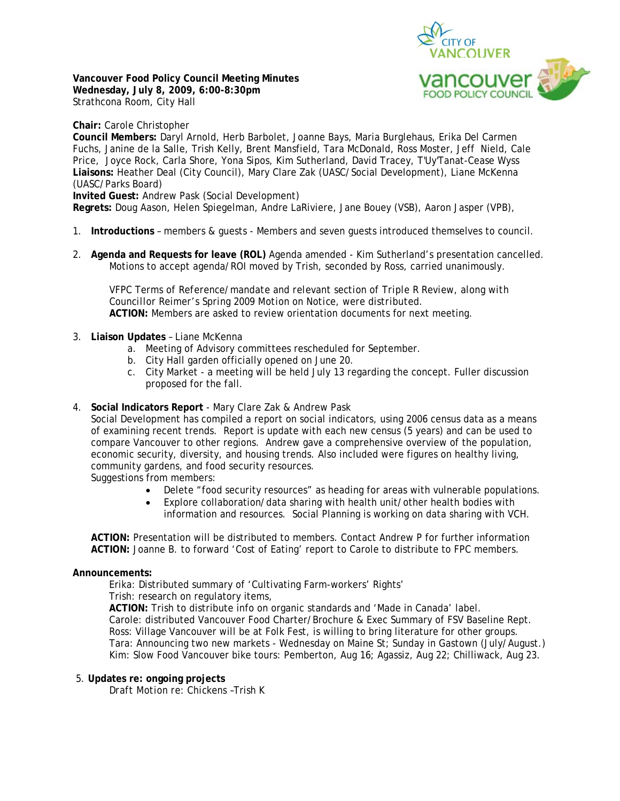

**Vancouver Food Policy Council Meeting Minutes Wednesday, July 8, 2009, 6:00-8:30pm**  Strathcona Room, City Hall

**Chair:** Carole Christopher

**Council Members:** Daryl Arnold, Herb Barbolet, Joanne Bays, Maria Burglehaus, Erika Del Carmen Fuchs, Janine de la Salle, Trish Kelly, Brent Mansfield, Tara McDonald, Ross Moster, Jeff Nield, Cale Price, Joyce Rock, Carla Shore, Yona Sipos, Kim Sutherland, David Tracey, T'Uy'Tanat-Cease Wyss **Liaisons:** Heather Deal (City Council), Mary Clare Zak (UASC/Social Development), Liane McKenna (UASC/Parks Board)

**Invited Guest:** Andrew Pask (Social Development)

**Regrets:** Doug Aason, Helen Spiegelman, Andre LaRiviere, Jane Bouey (VSB), Aaron Jasper (VPB),

- 1. **Introductions**  members & guests Members and seven guests introduced themselves to council.
- 2. **Agenda and Requests for leave (ROL)** Agenda amended Kim Sutherland's presentation cancelled. Motions to accept agenda/ROI moved by Trish, seconded by Ross, carried unanimously.

*VFPC Terms of Reference/mandate and relevant section of Triple R Review, along with Councillor Reimer's Spring 2009 Motion on Notice, were distributed.*  **ACTION:** Members are asked to review orientation documents for next meeting.

- 3. **Liaison Updates** Liane McKenna
	- a. Meeting of Advisory committees rescheduled for September.
	- b. City Hall garden officially opened on June 20.
	- c. City Market a meeting will be held July 13 regarding the concept. Fuller discussion proposed for the fall.
- 4. **Social Indicators Report**  Mary Clare Zak & Andrew Pask

Social Development has compiled a report on social indicators, using 2006 census data as a means of examining recent trends. Report is update with each new census (5 years) and can be used to compare Vancouver to other regions. Andrew gave a comprehensive overview of the population, economic security, diversity, and housing trends. Also included were figures on healthy living, community gardens, and food security resources.

Suggestions from members:

- Delete "food security resources" as heading for areas with vulnerable populations.
- Explore collaboration/data sharing with health unit/other health bodies with information and resources. Social Planning is working on data sharing with VCH.

**ACTION:** Presentation will be distributed to members. Contact Andrew P for further information **ACTION:** Joanne B. to forward 'Cost of Eating' report to Carole to distribute to FPC members.

# **Announcements:**

Erika: Distributed summary of 'Cultivating Farm-workers' Rights'

Trish: research on regulatory items,

**ACTION:** Trish to distribute info on organic standards and 'Made in Canada' label. Carole: distributed Vancouver Food Charter/Brochure & Exec Summary of FSV Baseline Rept. Ross: Village Vancouver will be at Folk Fest, is willing to bring literature for other groups. Tara: Announcing two new markets - Wednesday on Maine St; Sunday in Gastown (July/August.) Kim: Slow Food Vancouver bike tours: Pemberton, Aug 16; Agassiz, Aug 22; Chilliwack, Aug 23.

## 5. **Updates re: ongoing projects**

*Draft Motion re: Chickens* –Trish K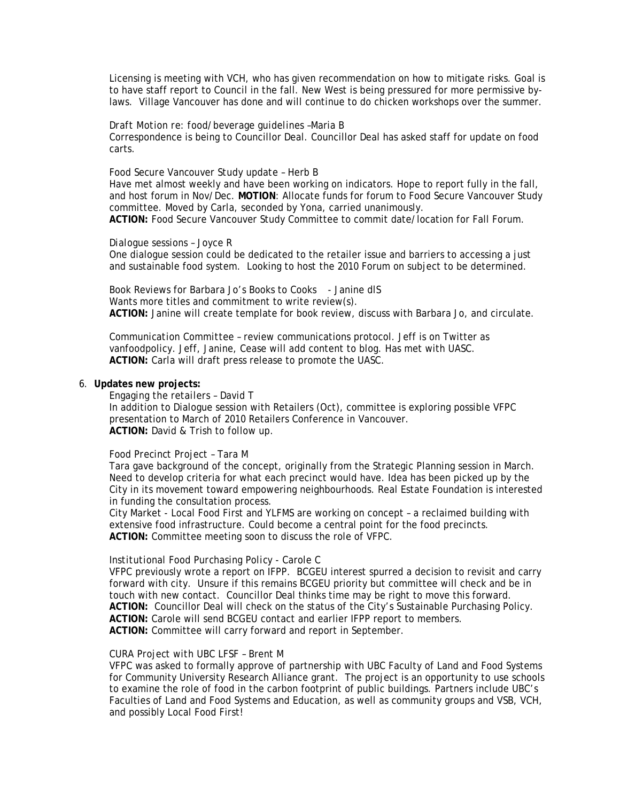Licensing is meeting with VCH, who has given recommendation on how to mitigate risks. Goal is to have staff report to Council in the fall. New West is being pressured for more permissive bylaws. Village Vancouver has done and will continue to do chicken workshops over the summer.

#### *Draft Motion re: food/beverage guidelines* –Maria B

Correspondence is being to Councillor Deal. Councillor Deal has asked staff for update on food carts.

#### *Food Secure Vancouver Study update* – Herb B

Have met almost weekly and have been working on indicators. Hope to report fully in the fall, and host forum in Nov/Dec. **MOTION**: Allocate funds for forum to Food Secure Vancouver Study committee. Moved by Carla, seconded by Yona, carried unanimously. **ACTION:** Food Secure Vancouver Study Committee to commit date/location for Fall Forum.

#### *Dialogue sessions* – Joyce R

One dialogue session could be dedicated to the retailer issue and barriers to accessing a just and sustainable food system. Looking to host the 2010 Forum on subject to be determined.

*Book Reviews* for Barbara Jo's Books to Cooks - Janine dlS Wants more titles and commitment to write review(s). **ACTION:** Janine will create template for book review, discuss with Barbara Jo, and circulate.

*Communication Committee* – review communications protocol. Jeff is on Twitter as vanfoodpolicy. Jeff, Janine, Cease will add content to blog. Has met with UASC. **ACTION:** Carla will draft press release to promote the UASC.

## 6. **Updates new projects:**

*Engaging the retailers* – David T In addition to Dialogue session with Retailers (Oct), committee is exploring possible VFPC presentation to March of 2010 Retailers Conference in Vancouver. **ACTION:** David & Trish to follow up.

## *Food Precinct Project* – Tara M

Tara gave background of the concept, originally from the Strategic Planning session in March. Need to develop criteria for what each precinct would have. Idea has been picked up by the City in its movement toward empowering neighbourhoods. Real Estate Foundation is interested in funding the consultation process.

City Market - Local Food First and YLFMS are working on concept – a reclaimed building with extensive food infrastructure. Could become a central point for the food precincts. **ACTION:** Committee meeting soon to discuss the role of VFPC.

## *Institutional Food Purchasing Policy* - Carole C

VFPC previously wrote a report on IFPP. BCGEU interest spurred a decision to revisit and carry forward with city. Unsure if this remains BCGEU priority but committee will check and be in touch with new contact. Councillor Deal thinks time may be right to move this forward. **ACTION:** Councillor Deal will check on the status of the City's Sustainable Purchasing Policy. **ACTION:** Carole will send BCGEU contact and earlier IFPP report to members. **ACTION:** Committee will carry forward and report in September.

## *CURA Project with UBC LFSF* – Brent M

VFPC was asked to formally approve of partnership with UBC Faculty of Land and Food Systems for Community University Research Alliance grant. The project is an opportunity to use schools to examine the role of food in the carbon footprint of public buildings. Partners include UBC's Faculties of Land and Food Systems and Education, as well as community groups and VSB, VCH, and possibly Local Food First!